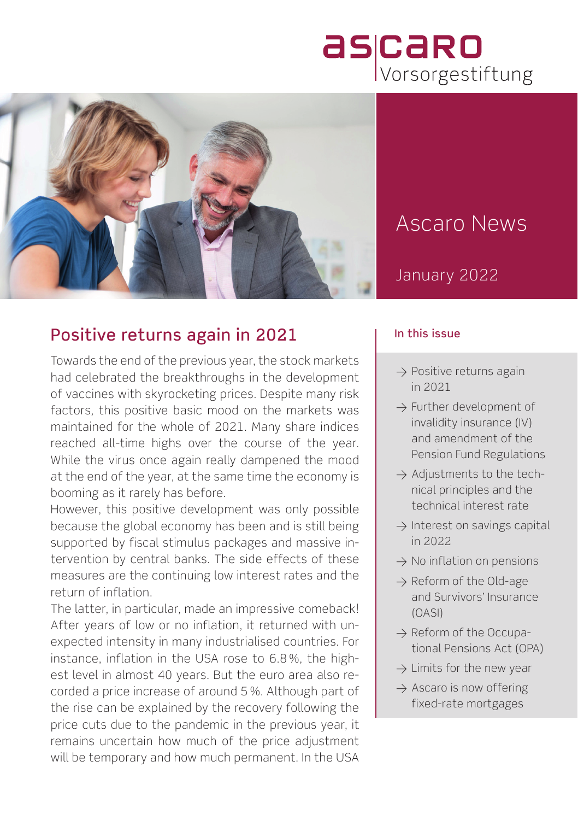# ascaro



## Ascaro News

#### January 2022

#### Positive returns again in 2021

Towards the end of the previous year, the stock markets had celebrated the breakthroughs in the development of vaccines with skyrocketing prices. Despite many risk factors, this positive basic mood on the markets was maintained for the whole of 2021. Many share indices reached all-time highs over the course of the year. While the virus once again really dampened the mood at the end of the year, at the same time the economy is booming as it rarely has before.

However, this positive development was only possible because the global economy has been and is still being supported by fiscal stimulus packages and massive intervention by central banks. The side effects of these measures are the continuing low interest rates and the return of inflation.

The latter, in particular, made an impressive comeback! After years of low or no inflation, it returned with unexpected intensity in many industrialised countries. For instance, inflation in the USA rose to 6.8 %, the highest level in almost 40 years. But the euro area also recorded a price increase of around 5 %. Although part of the rise can be explained by the recovery following the price cuts due to the pandemic in the previous year, it remains uncertain how much of the price adjustment will be temporary and how much permanent. In the USA

#### In this issue

- $\rightarrow$  Positive returns again in 2021
- $\rightarrow$  Further development of invalidity insurance (IV) and amendment of the Pension Fund Regulations
- $\rightarrow$  Adjustments to the technical principles and the technical interest rate
- $\rightarrow$  Interest on savings capital in 2022
- $\rightarrow$  No inflation on pensions
- $\rightarrow$  Reform of the Old-age and Survivors' Insurance (OASI)
- $\rightarrow$  Reform of the Occupational Pensions Act (OPA)
- $\rightarrow$  Limits for the new year
- $\rightarrow$  Ascaro is now offering fixed-rate mortgages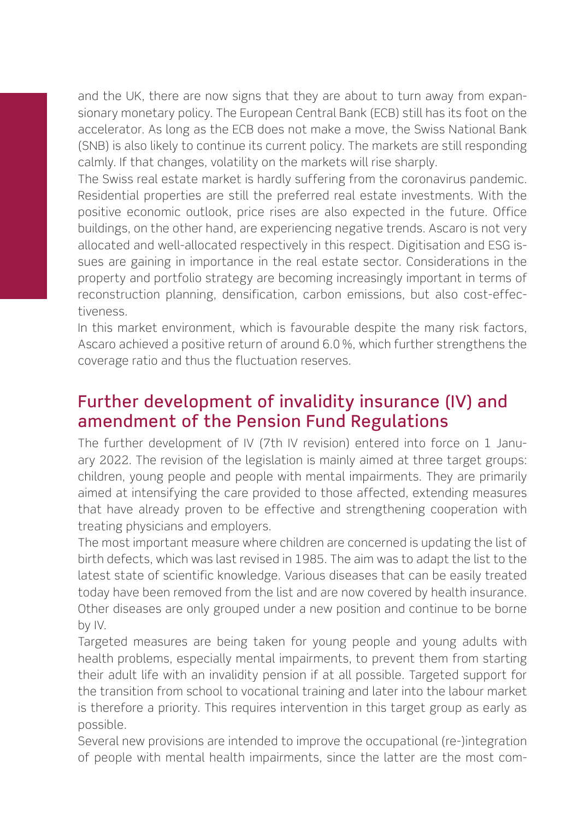and the UK, there are now signs that they are about to turn away from expansionary monetary policy. The European Central Bank (ECB) still has its foot on the accelerator. As long as the ECB does not make a move, the Swiss National Bank (SNB) is also likely to continue its current policy. The markets are still responding calmly. If that changes, volatility on the markets will rise sharply.

The Swiss real estate market is hardly suffering from the coronavirus pandemic. Residential properties are still the preferred real estate investments. With the positive economic outlook, price rises are also expected in the future. Office buildings, on the other hand, are experiencing negative trends. Ascaro is not very allocated and well-allocated respectively in this respect. Digitisation and ESG issues are gaining in importance in the real estate sector. Considerations in the property and portfolio strategy are becoming increasingly important in terms of reconstruction planning, densification, carbon emissions, but also cost-effectiveness.

In this market environment, which is favourable despite the many risk factors, Ascaro achieved a positive return of around 6.0 %, which further strengthens the coverage ratio and thus the fluctuation reserves.

#### Further development of invalidity insurance (IV) and amendment of the Pension Fund Regulations

The further development of IV (7th IV revision) entered into force on 1 January 2022. The revision of the legislation is mainly aimed at three target groups: children, young people and people with mental impairments. They are primarily aimed at intensifying the care provided to those affected, extending measures that have already proven to be effective and strengthening cooperation with treating physicians and employers.

The most important measure where children are concerned is updating the list of birth defects, which was last revised in 1985. The aim was to adapt the list to the latest state of scientific knowledge. Various diseases that can be easily treated today have been removed from the list and are now covered by health insurance. Other diseases are only grouped under a new position and continue to be borne by IV.

Targeted measures are being taken for young people and young adults with health problems, especially mental impairments, to prevent them from starting their adult life with an invalidity pension if at all possible. Targeted support for the transition from school to vocational training and later into the labour market is therefore a priority. This requires intervention in this target group as early as possible.

Several new provisions are intended to improve the occupational (re-)integration of people with mental health impairments, since the latter are the most com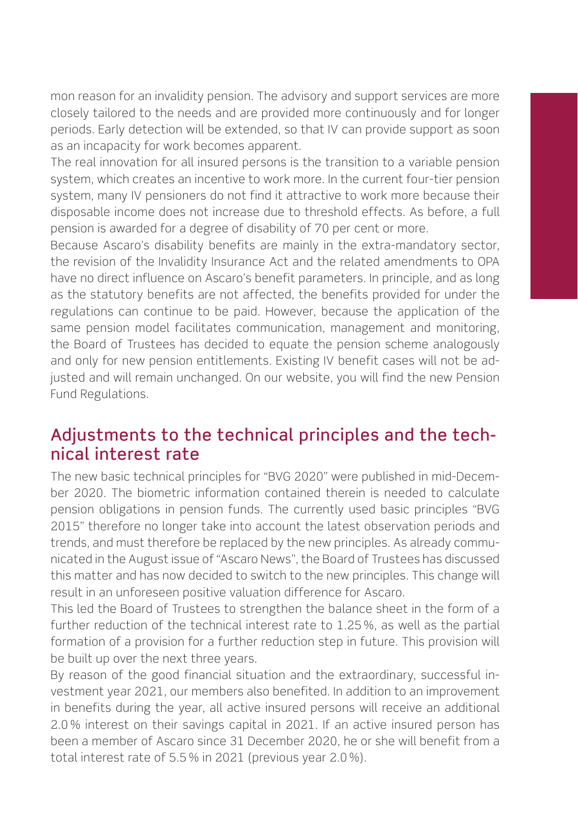mon reason for an invalidity pension. The advisory and support services are more closely tailored to the needs and are provided more continuously and for longer periods. Early detection will be extended, so that IV can provide support as soon as an incapacity for work becomes apparent.

The real innovation for all insured persons is the transition to a variable pension system, which creates an incentive to work more. In the current four-tier pension system, many IV pensioners do not find it attractive to work more because their disposable income does not increase due to threshold effects. As before, a full pension is awarded for a degree of disability of 70 per cent or more.

Because Ascaro's disability benefits are mainly in the extra-mandatory sector, the revision of the Invalidity Insurance Act and the related amendments to OPA have no direct influence on Ascaro's benefit parameters. In principle, and as long as the statutory benefits are not affected, the benefits provided for under the regulations can continue to be paid. However, because the application of the same pension model facilitates communication, management and monitoring, the Board of Trustees has decided to equate the pension scheme analogously and only for new pension entitlements. Existing IV benefit cases will not be adjusted and will remain unchanged. On our website, you will find the new Pension Fund Regulations.

#### Adjustments to the technical principles and the technical interest rate

The new basic technical principles for "BVG 2020" were published in mid-December 2020. The biometric information contained therein is needed to calculate pension obligations in pension funds. The currently used basic principles "BVG 2015" therefore no longer take into account the latest observation periods and trends, and must therefore be replaced by the new principles. As already communicated in the August issue of "Ascaro News", the Board of Trustees has discussed this matter and has now decided to switch to the new principles. This change will result in an unforeseen positive valuation difference for Ascaro.

This led the Board of Trustees to strengthen the balance sheet in the form of a further reduction of the technical interest rate to 1.25 %, as well as the partial formation of a provision for a further reduction step in future. This provision will be built up over the next three years.

By reason of the good financial situation and the extraordinary, successful investment year 2021, our members also benefited. In addition to an improvement in benefits during the year, all active insured persons will receive an additional 2.0 % interest on their savings capital in 2021. If an active insured person has been a member of Ascaro since 31 December 2020, he or she will benefit from a total interest rate of 5.5 % in 2021 (previous year 2.0 %).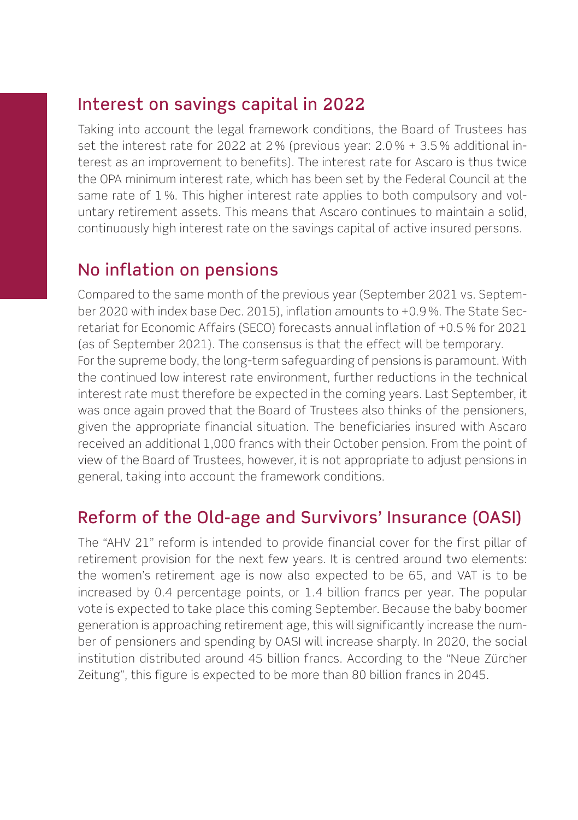#### Interest on savings capital in 2022

Taking into account the legal framework conditions, the Board of Trustees has set the interest rate for 2022 at 2 % (previous year: 2.0 % + 3.5 % additional interest as an improvement to benefits). The interest rate for Ascaro is thus twice the OPA minimum interest rate, which has been set by the Federal Council at the same rate of 1 %. This higher interest rate applies to both compulsory and voluntary retirement assets. This means that Ascaro continues to maintain a solid, continuously high interest rate on the savings capital of active insured persons.

#### No inflation on pensions

Compared to the same month of the previous year (September 2021 vs. September 2020 with index base Dec. 2015), inflation amounts to +0.9 %. The State Secretariat for Economic Affairs (SECO) forecasts annual inflation of +0.5 % for 2021 (as of September 2021). The consensus is that the effect will be temporary. For the supreme body, the long-term safeguarding of pensions is paramount. With the continued low interest rate environment, further reductions in the technical interest rate must therefore be expected in the coming years. Last September, it was once again proved that the Board of Trustees also thinks of the pensioners, given the appropriate financial situation. The beneficiaries insured with Ascaro received an additional 1,000 francs with their October pension. From the point of view of the Board of Trustees, however, it is not appropriate to adjust pensions in general, taking into account the framework conditions.

#### Reform of the Old-age and Survivors' Insurance (OASI)

The "AHV 21" reform is intended to provide financial cover for the first pillar of retirement provision for the next few years. It is centred around two elements: the women's retirement age is now also expected to be 65, and VAT is to be increased by 0.4 percentage points, or 1.4 billion francs per year. The popular vote is expected to take place this coming September. Because the baby boomer generation is approaching retirement age, this will significantly increase the number of pensioners and spending by OASI will increase sharply. In 2020, the social institution distributed around 45 billion francs. According to the "Neue Zürcher Zeitung", this figure is expected to be more than 80 billion francs in 2045.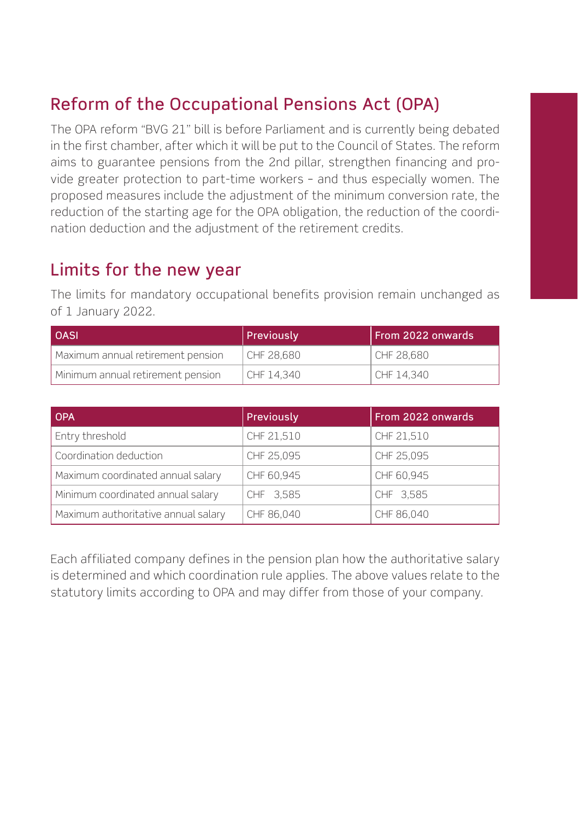### Reform of the Occupational Pensions Act (OPA)

The OPA reform "BVG 21" bill is before Parliament and is currently being debated in the first chamber, after which it will be put to the Council of States. The reform aims to guarantee pensions from the 2nd pillar, strengthen financing and provide greater protection to part-time workers – and thus especially women. The proposed measures include the adjustment of the minimum conversion rate, the reduction of the starting age for the OPA obligation, the reduction of the coordination deduction and the adjustment of the retirement credits.

#### Limits for the new year

The limits for mandatory occupational benefits provision remain unchanged as of 1 January 2022.

| <b>OASI</b>                       | Previously | From 2022 onwards |
|-----------------------------------|------------|-------------------|
| Maximum annual retirement pension | CHF 28.680 | CHF 28.680        |
| Minimum annual retirement pension | CHF 14.340 | CHF 14.340        |

| <b>OPA</b>                          | Previously | From 2022 onwards |
|-------------------------------------|------------|-------------------|
| Entry threshold                     | CHF 21,510 | CHF 21,510        |
| Coordination deduction              | CHF 25,095 | CHF 25.095        |
| Maximum coordinated annual salary   | CHF 60,945 | CHF 60,945        |
| Minimum coordinated annual salary   | CHF 3,585  | CHF 3.585         |
| Maximum authoritative annual salary | CHF 86,040 | CHF 86,040        |

Each affiliated company defines in the pension plan how the authoritative salary is determined and which coordination rule applies. The above values relate to the statutory limits according to OPA and may differ from those of your company.